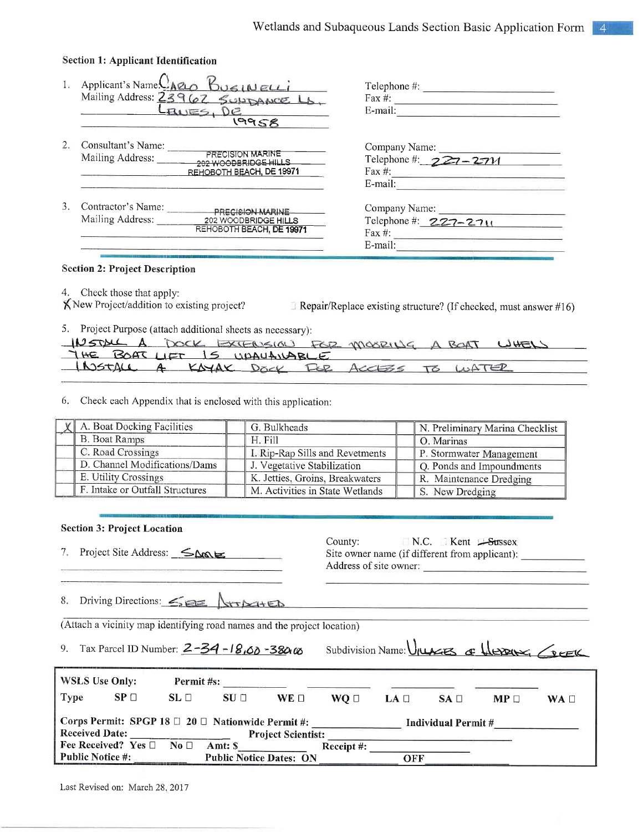|    | <b>Section 1: Applicant Identification</b>                                                                     |                                                                                                                                                                                                                                                                                                                                                               |
|----|----------------------------------------------------------------------------------------------------------------|---------------------------------------------------------------------------------------------------------------------------------------------------------------------------------------------------------------------------------------------------------------------------------------------------------------------------------------------------------------|
|    | Applicant's Name. <sup>1</sup> ARLO<br>BUSINELLi<br>Mailing Address: 23962 SULDANCE LA<br>BUES, DE<br>19958    | $\text{Telephone } \#$ :<br>Fax #: $\qquad \qquad$<br>E-mail:                                                                                                                                                                                                                                                                                                 |
|    | Consultant's Name:<br>PRECISION MARINE<br>Mailing Address:<br>202 WOODBRIDGE HILLS<br>REHOBOTH BEACH, DE 19971 | Company Name:<br>Telephone #: $227 - 2711$<br>E-mail:                                                                                                                                                                                                                                                                                                         |
| 3. | Contractor's Name: PRECISION MARINE<br>Mailing Address:<br>202 WOODBRIDGE HILLS<br>REHOBOTH BEACH, DE 19971    | Company Name:<br>Telephone #: $227 - 2711$<br>Fax #: $\frac{1}{2}$ = $\frac{1}{2}$ = $\frac{1}{2}$ = $\frac{1}{2}$ = $\frac{1}{2}$ = $\frac{1}{2}$ = $\frac{1}{2}$ = $\frac{1}{2}$ = $\frac{1}{2}$ = $\frac{1}{2}$ = $\frac{1}{2}$ = $\frac{1}{2}$ = $\frac{1}{2}$ = $\frac{1}{2}$ = $\frac{1}{2}$ = $\frac{1}{2}$ = $\frac{1}{2}$ = $\frac{1}{2}$<br>E-mail: |

# **Section 2: Project Description**

4. Check those that apply: K New Project/addition to existing project?

Repair/Replace existing structure? (If checked, must answer #16)

5. Project Purpose (attach additional sheets as necessary):

| IDSTALL A DOCK EXTENSION FOR MOORING A BOAT WHEN |  |
|--------------------------------------------------|--|
| THE BOAT LIFT IS UPALLANABLE                     |  |
| INSTALL A KNAK DOCK FOR ACCESS TO WATER          |  |

6. Check each Appendix that is enclosed with this application:

| A. Boat Docking Facilities      | G. Bulkheads                    | N. Preliminary Marina Checklist |
|---------------------------------|---------------------------------|---------------------------------|
| <b>B.</b> Boat Ramps            | H. Fill                         | O. Marinas                      |
| C. Road Crossings               | I. Rip-Rap Sills and Revetments | P. Stormwater Management        |
| D. Channel Modifications/Dams   | J. Vegetative Stabilization     | Q. Ponds and Impoundments       |
| E. Utility Crossings            | K. Jetties, Groins, Breakwaters | R. Maintenance Dredging         |
| F. Intake or Outfall Structures | M. Activities in State Wetlands | S. New Dredging                 |

### **Section 3: Project Location**

7. Project Site Address:  $\leq \Delta \infty$ 

County:  $\Box$  N.C.  $\Box$  Kent  $\Box$ Sussex Site owner name (if different from applicant): Address of site owner:

8. Driving Directions:  $\leq$ ATTACHED

(Attach a vicinity map identifying road names and the project location)

9. Tax Parcel ID Number:  $2 - 34 - 18.60 - 380.06$ 

Subdivision Name: UNACES of HERRING CREEK

| <b>WSLS Use Only:</b>                                                                                                                    |                                    | Permit #s:   |                                           |             |               |      |                 |                 |             |
|------------------------------------------------------------------------------------------------------------------------------------------|------------------------------------|--------------|-------------------------------------------|-------------|---------------|------|-----------------|-----------------|-------------|
| <b>Type</b>                                                                                                                              | SP <sub>1</sub>                    | $SL \square$ | SU <sub>1</sub>                           | $WE \sqcap$ | WO □          | LA O | SA <sub>1</sub> | MP <sub>1</sub> | $WA$ $\Box$ |
| Corps Permit: SPGP 18 $\Box$ 20 $\Box$ Nationwide Permit #:<br>Individual Permit #<br><b>Received Date:</b><br><b>Project Scientist:</b> |                                    |              |                                           |             |               |      |                 |                 |             |
| Public Notice $\#$ :                                                                                                                     | Fee Received? Yes $\Box$ No $\Box$ |              | Amt: \$<br><b>Public Notice Dates: ON</b> |             | Receipt $#$ : | OFF  |                 |                 |             |

Last Revised on: March 28, 2017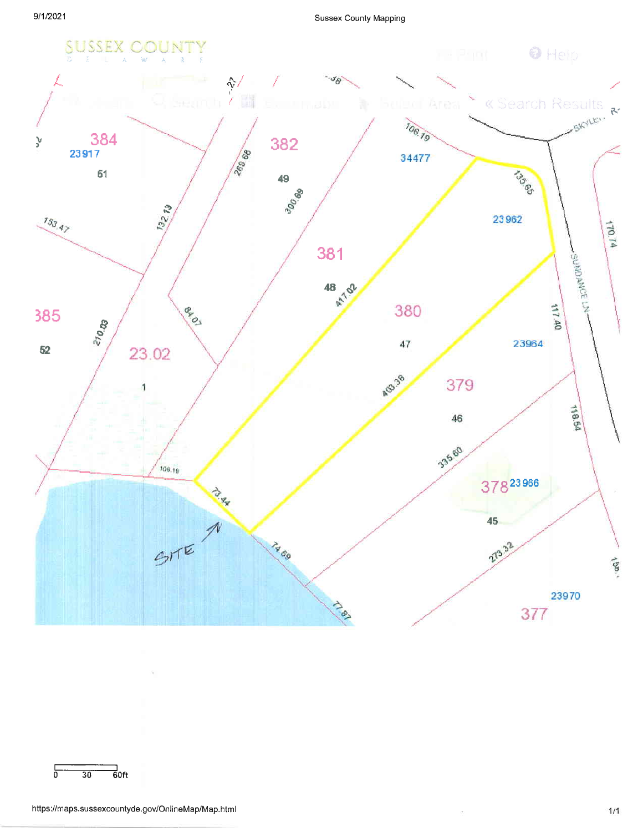

$$
\begin{array}{c|c}\n\hline\n & 30 & 60 \text{ft}\n\end{array}
$$

 $\lesssim$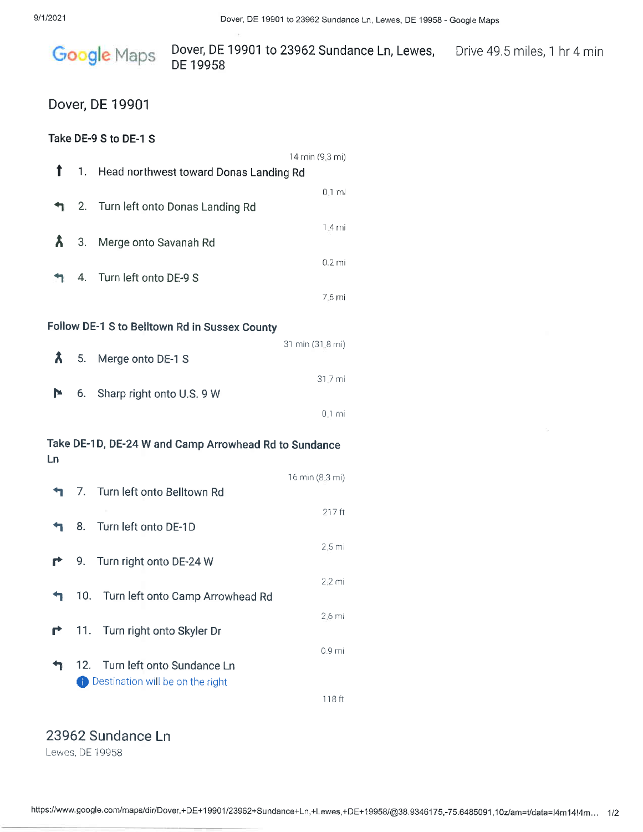

# Dover, DE 19901

## Take DE-9 S to DE-1 S

|    |     |                                                       | 14 min (9.3 mi)  |  |
|----|-----|-------------------------------------------------------|------------------|--|
| T  | 1.  | Head northwest toward Donas Landing Rd                |                  |  |
| ↰  | 2.  | Turn left onto Donas Landing Rd                       | $0.1 \text{ mi}$ |  |
|    |     |                                                       | 1.4 mi           |  |
| Â  | 3.  | Merge onto Savanah Rd                                 |                  |  |
|    |     |                                                       | $0.2$ mi         |  |
|    | 4.  | Turn left onto DE-9 S                                 |                  |  |
|    |     |                                                       | 7.6 mi           |  |
|    |     | Follow DE-1 S to Belltown Rd in Sussex County         |                  |  |
|    |     |                                                       | 31 min (31.8 mi) |  |
| Â  | 5.  | Merge onto DE-1 S                                     |                  |  |
| P  | 6.  |                                                       | 31.7 mi          |  |
|    |     | Sharp right onto U.S. 9 W                             | $0.1$ mi         |  |
|    |     |                                                       |                  |  |
|    |     | Take DE-1D, DE-24 W and Camp Arrowhead Rd to Sundance |                  |  |
| Ln |     |                                                       |                  |  |
|    | 7.  | Turn left onto Belltown Rd                            | 16 min (8.3 mi)  |  |
|    |     |                                                       | 217 ft           |  |
|    | 8.  | Turn left onto DE-1D                                  |                  |  |
|    |     |                                                       | $2.5$ mi         |  |
|    | 9.  | Turn right onto DE-24 W                               |                  |  |
|    |     | 10. Turn left onto Camp Arrowhead Rd                  | $2.2 \text{ mi}$ |  |
|    |     |                                                       | 2.6 mi           |  |
|    | 11. | Turn right onto Skyler Dr                             |                  |  |
|    |     |                                                       | 0.9 mi           |  |
|    | 12. | Turn left onto Sundance Ln                            |                  |  |
|    |     | Destination will be on the right                      |                  |  |
|    |     |                                                       | 118 ft           |  |

# 23962 Sundance Ln

Lewes, DE 19958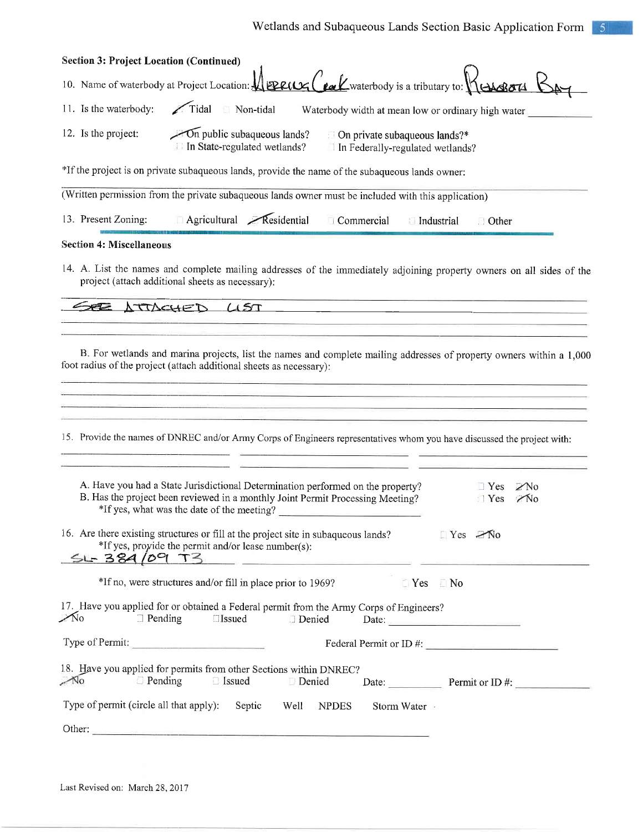| <b>Section 3: Project Location (Continued)</b> |                                                                                                                                                                                                                                                                                                                                                                                                                                                                                                                                                                                                                                                                                                                                                                      |
|------------------------------------------------|----------------------------------------------------------------------------------------------------------------------------------------------------------------------------------------------------------------------------------------------------------------------------------------------------------------------------------------------------------------------------------------------------------------------------------------------------------------------------------------------------------------------------------------------------------------------------------------------------------------------------------------------------------------------------------------------------------------------------------------------------------------------|
|                                                | 10. Name of waterbody at Project Location: $\sqrt{\frac{ \mathbf{P}\mathbf{P}\mathbf{P}(\mathbf{Q}) }{ \mathbf{P}\mathbf{P}(\mathbf{Q}) }}$ waterbody is a tributary to: $\sqrt{\frac{ \mathbf{Q}\mathbf{Q}\mathbf{Q}\mathbf{Q} }{ \mathbf{Q}\mathbf{Q} }}$                                                                                                                                                                                                                                                                                                                                                                                                                                                                                                          |
| 11. Is the waterbody:                          | Tidal Non-tidal<br>Waterbody width at mean low or ordinary high water                                                                                                                                                                                                                                                                                                                                                                                                                                                                                                                                                                                                                                                                                                |
| 12. Is the project:                            | $\sim$ On public subaqueous lands?<br>$\Box$ On private subaqueous lands?*<br>In State-regulated wetlands?<br>In Federally-regulated wetlands?                                                                                                                                                                                                                                                                                                                                                                                                                                                                                                                                                                                                                       |
|                                                | *If the project is on private subaqueous lands, provide the name of the subaqueous lands owner:                                                                                                                                                                                                                                                                                                                                                                                                                                                                                                                                                                                                                                                                      |
|                                                | (Written permission from the private subaqueous lands owner must be included with this application)                                                                                                                                                                                                                                                                                                                                                                                                                                                                                                                                                                                                                                                                  |
| 13. Present Zoning:                            | Agricultural Residential<br>Commercial<br>Industrial<br><b>Other</b>                                                                                                                                                                                                                                                                                                                                                                                                                                                                                                                                                                                                                                                                                                 |
| <b>Section 4: Miscellaneous</b>                |                                                                                                                                                                                                                                                                                                                                                                                                                                                                                                                                                                                                                                                                                                                                                                      |
|                                                | 14. A. List the names and complete mailing addresses of the immediately adjoining property owners on all sides of the<br>project (attach additional sheets as necessary):                                                                                                                                                                                                                                                                                                                                                                                                                                                                                                                                                                                            |
| SEE ATTACHED                                   | LIST<br><u> 2000 - 2000 - 2000 - 2000 - 2000 - 2000 - 2000 - 2000 - 2000 - 2000 - 2000 - 2000 - 2000 - 2000 - 2000 - 200</u><br><u> 1989 - Jan James James Jan James James James James James James James James James James James James James Jam</u>                                                                                                                                                                                                                                                                                                                                                                                                                                                                                                                 |
|                                                | B. For wetlands and marina projects, list the names and complete mailing addresses of property owners within a 1,000<br>foot radius of the project (attach additional sheets as necessary):<br><u> 1988 - Jan Storman, Amerikaansk fersk fersk ferske fan de ferske ferske ferske fan de ferske ferske ferske fer</u><br>15. Provide the names of DNREC and/or Army Corps of Engineers representatives whom you have discussed the project with:<br><b>PERMIT AND PROPERTY AND INCOME.</b><br>A. Have you had a State Jurisdictional Determination performed on the property?<br>$\Box$ Yes<br>$\mathbb{Z}$ No<br>B. Has the project been reviewed in a monthly Joint Permit Processing Meeting?<br>Yes<br>$\bigwedge$<br>*If yes, what was the date of the meeting? |
| $51 - 384/09$ T3                               | 16. Are there existing structures or fill at the project site in subaqueous lands?<br>$Yes$ $\in \mathbb{N}$ o<br>*If yes, provide the permit and/or lease number(s):<br><u> 1980 - Antonio Alemania, mpikambana amin'ny fivondronan-kaominin'i Carlo Barbara ao amin'ny fivondronan-kaominin'i Carlo Barbara ao amin'ny fivondronan-kaominin'i Carlo Barbara ao amin'ny fivondronan-kaominin'i Carlo Bar</u>                                                                                                                                                                                                                                                                                                                                                        |
|                                                | *If no, were structures and/or fill in place prior to 1969?<br>$\Box$ Yes<br>$\Box$ No                                                                                                                                                                                                                                                                                                                                                                                                                                                                                                                                                                                                                                                                               |
| $\sim$ No<br>$\Box$ Pending                    | 17. Have you applied for or obtained a Federal permit from the Army Corps of Engineers?<br><b>Issued</b><br>Denied<br>Date:                                                                                                                                                                                                                                                                                                                                                                                                                                                                                                                                                                                                                                          |
| Type of Permit:                                | Federal Permit or ID #:                                                                                                                                                                                                                                                                                                                                                                                                                                                                                                                                                                                                                                                                                                                                              |
| $\sim$ No<br><b>Pending</b>                    | 18. Have you applied for permits from other Sections within DNREC?<br><b>Sissued</b><br>Denied<br>Date: Permit or ID #:                                                                                                                                                                                                                                                                                                                                                                                                                                                                                                                                                                                                                                              |
| Type of permit (circle all that apply):        | Septic<br>Well<br><b>NPDES</b><br>Storm Water                                                                                                                                                                                                                                                                                                                                                                                                                                                                                                                                                                                                                                                                                                                        |
|                                                | Other:                                                                                                                                                                                                                                                                                                                                                                                                                                                                                                                                                                                                                                                                                                                                                               |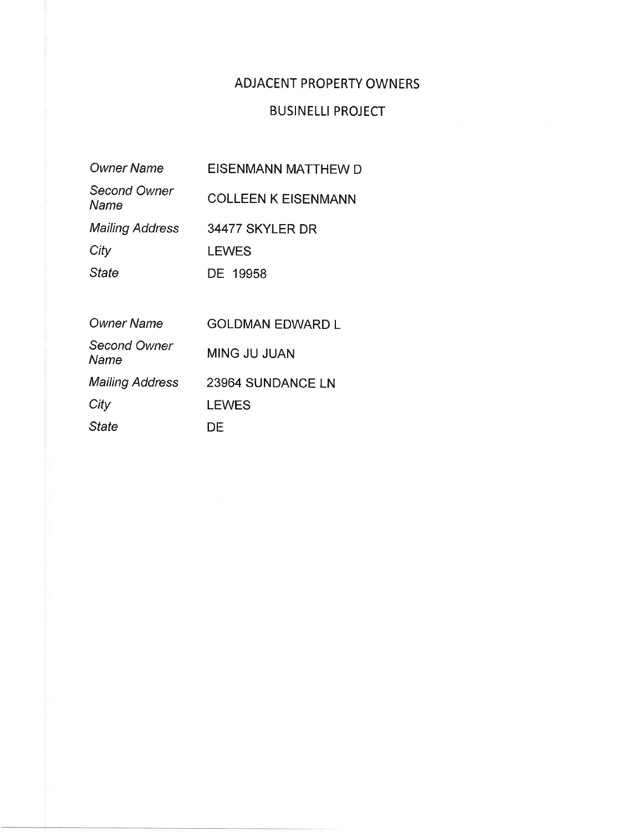# **ADJACENT PROPERTY OWNERS**

# **BUSINELLI PROJECT**

#### **Owner Name** EISENMANN MATTHEW D

Second Owner **COLLEEN K EISENMANN** Name **Mailing Address** 34477 SKYLER DR City **LEWES** 

State DE 19958

| <b>Owner Name</b>      | <b>GOLDMAN EDWARD L</b> |
|------------------------|-------------------------|
| Second Owner<br>Name   | <b>MING JU JUAN</b>     |
| <b>Mailing Address</b> | 23964 SUNDANCE LN       |
| City                   | <b>LEWES</b>            |
| <b>State</b>           | DF                      |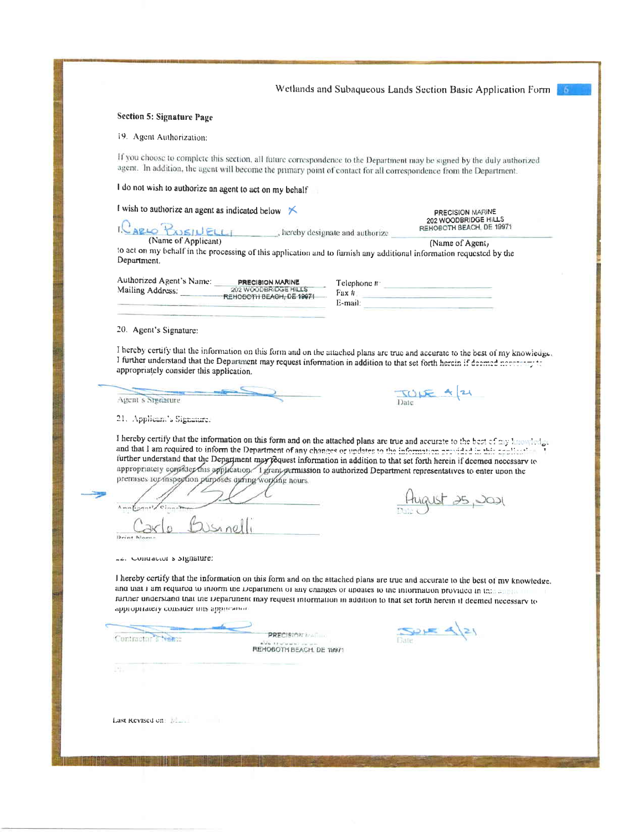Wetlands and Subaqueous Lands Section Basic Application Form

### Section 5: Signature Page

19. Agent Authorization:

If you choose to complete this section, all future correspondence to the Department may be signed by the duly authorized agent. In addition, the agent will become the primary point of contact for all correspondence from the Department.

I do not wish to authorize an agent to act on my behalf

I wish to authorize an agent as indicated below  $\mathbb{R}$ 

202 WOODBRIDGE HILLS Rapic Passiu ELL REHOBOTH BEACH, DE 19971 , hereby designate and authorize (Name of Agent,

to act on my behalf in the processing of this application and to furnish any additional information requested by the Department.

| Authorized Agent's Name: | <b>PRECISION MARINE</b>     |  |  |
|--------------------------|-----------------------------|--|--|
| Mailing Address.         | <b>202 WOODBRIDGE HILLS</b> |  |  |
|                          | -REHOBOTH BEACH, DE 19971   |  |  |

| Telephone # |  |  |
|-------------|--|--|
| Fux #       |  |  |
| E-mail:     |  |  |
|             |  |  |

 $TODE + |24$ 

PRECISION MARINE

20. Agent's Signature:

I hereby certify that the information on this form and on the attached plans are true and accurate to the best of my knowledge. I further understand that the Department may request information in addition to that set forth herein if deemed necessary to appropriately consider this application.

Agent's Signature

21. Applicant's Signature.

I hereby certify that the information on this form and on the attached plans are true and accurate to the best of my knowledge and that I am required to inform the Department of any changes or updates to the information provided in this application further understand that the Department may fequest information in addition to that set forth herein if deemed necessary to appropriately consider this application. I grant permission to authorized Department representatives to enter upon the premises top inspection purposes quring working nours

 $13 - 7$ 

Le. Contractor s'highature:

August 25, JOJ

I hereby certify that the information on this form and on the attached plans are true and accurate to the best of my knowledge. and that I am required to inform the Department of any changes or updates to the information provided in this all ruriner understand that the Department may request information in addition to that set forth herein if deemed necessary to appropriately consider this approached

Contractor<sup>7</sup> Neme

PRECISION INABILITY REHOBOTH BEACH, DE 19971

 $Sone$   $4|21$ 

Last Revised on: News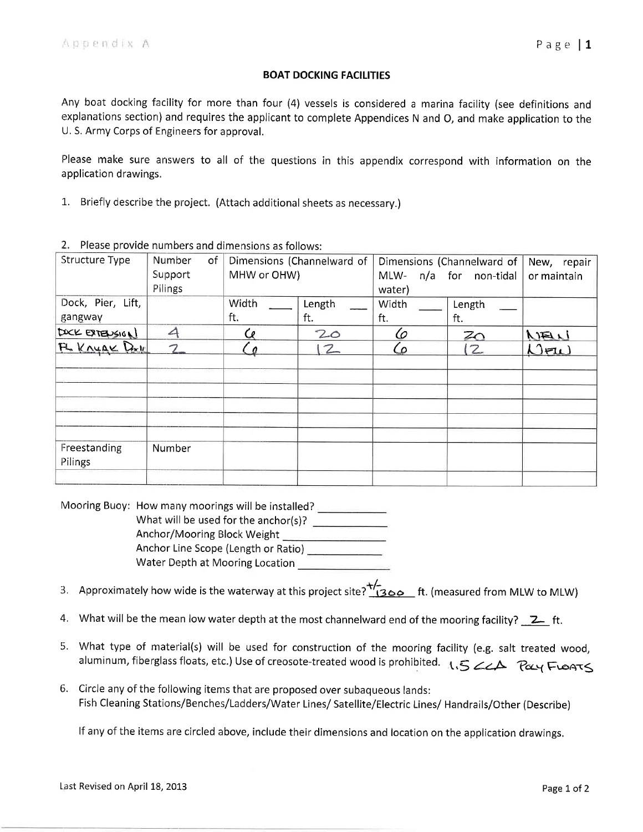### BOAT DOCKING FACILITIES

Any boat docking facility for more than four (4) vessels is considered a marina facility (see definitions and explanations section) and requires the applicant to complete Appendices N and O, and make application to the U. S. Army Corps of Engineers for approval.

Please make sure answers to all of the questions in this appendix correspond with information on the application drawings.

.1. Briefly describe the project. (Attach additional sheets as necessary.)

|                         |                     | <b>PI STIGS INSTITUTE STIGS CONTINUES IN THE STIGS IN THE STIGS IN THE STIGS IN THE ST</b> |                            |           |                            |             |  |
|-------------------------|---------------------|--------------------------------------------------------------------------------------------|----------------------------|-----------|----------------------------|-------------|--|
| <b>Structure Type</b>   | <b>Number</b><br>of |                                                                                            | Dimensions (Channelward of |           | Dimensions (Channelward of |             |  |
|                         | Support             | MHW or OHW)                                                                                |                            | MLW-      | n/a for non-tidal          | or maintain |  |
|                         | Pilings             |                                                                                            |                            | water)    |                            |             |  |
| Dock, Pier, Lift,       |                     | Width                                                                                      | Length                     | Width     | Length                     |             |  |
| gangway                 |                     | ft.                                                                                        | ft.                        | ft.       | ft.                        |             |  |
| DOCK EXTENSION          | 4                   | Cο                                                                                         | 20                         | 6         | $z_{\rm O}$                | WEW         |  |
| FL KNYAK Dall           | $\overline{2}$      |                                                                                            | $\mathcal{Z}_{-}$          | <u>(٥</u> | $\overline{2}$             | $N$ FW      |  |
|                         |                     |                                                                                            |                            |           |                            |             |  |
|                         |                     |                                                                                            |                            |           |                            |             |  |
|                         |                     |                                                                                            |                            |           |                            |             |  |
|                         |                     |                                                                                            |                            |           |                            |             |  |
| Freestanding<br>Pilings | Number              |                                                                                            |                            |           |                            |             |  |
|                         |                     |                                                                                            |                            |           |                            |             |  |

2. Please provide numbers and dimensions as follows:

Mooring Buoy: How many moorings will be installed? What will be used for the anchor(s)? Anchor/Mooring Block Weight Anchor Line Scope (Length or Ratio) Water Depth at Mooring Location

- 3. Approximately how wide is the waterway at this project site?  $\frac{1}{2}$   $\frac{1}{2}$  ft. (measured from MLW to MLW)
- 4. What will be the mean low water depth at the most channelward end of the mooring facility?  $\boxed{2}$  ft.
- 5. What type of material(s) will be used for construction of the mooring facility (e.g. salt treated wood, aluminum, fiberglass floats, etc.) Use of creosote-treated wood is prohibited.  $\Lambda$ ,  $5$  ZZA fay Froats
- 6. Circle any of the following items that are proposed over subaqueous lands: Fish Cleaning Stations/Benches/Ladders/Water Lines/ Satellite/Electric Lines/ Handrails/Other (Describe)

If any of the items are circled above, include their dimensions and location on the application drawings.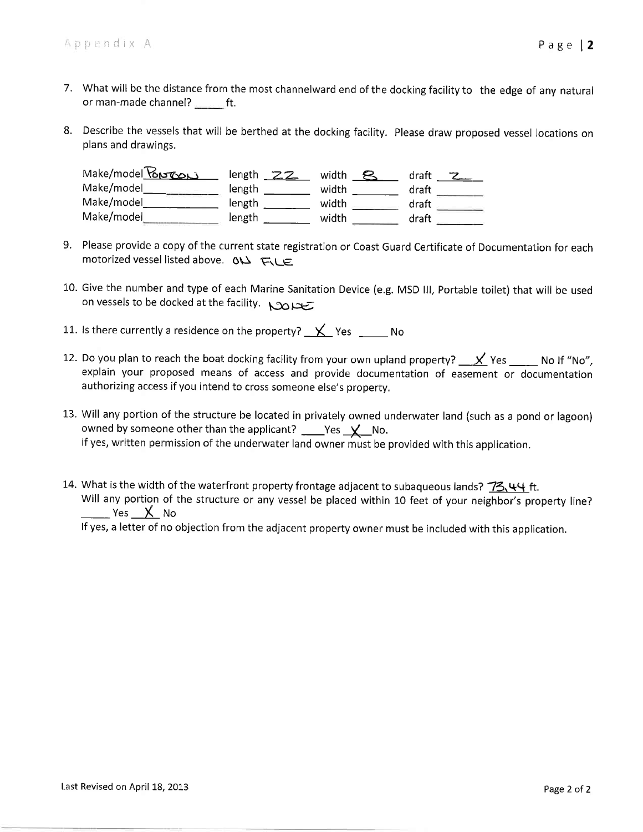- 7. What will be the distance from the most channelward end of the docking facility to the edge of any natural or man-made channel? \_\_\_\_\_\_\_ ft.
- 8. Describe the vessels that will be berthed at the docking facility. Please draw proposed vessel locations on plans and drawings.

| Make/model Portop | length $22$ | width | draft |
|-------------------|-------------|-------|-------|
| Make/model        | length      | width | draft |
| Make/model        | length      | width | draft |
| Make/model        | length      | width | draft |

- 9. Please provide a copy of the current state registration or Coast Guard Certificate of Documentation for each motorized vessel listed above. 01) FLE
- 10. Give the number and type of each Marine Sanitation Device (e.g. MSD III, Portable toilet) that will be used on vessels to be docked at the facility. Now
- 11. Is there currently a residence on the property?  $\mathsf{X}$  Yes No
- 12. Do you plan to reach the boat docking facility from your own upland property?  $\mathcal{X}$  Yes  $\mathcal{Y}$  No If "No", explain your proposed means of access and provide documentation of easement or documentation authorizing access if you intend to cross someone else's property.
- 13. Will any portion of the structure be located in privately owned underwater land (such as a pond or lagoon) owned by someone other than the applicant? \_\_\_\_Yes  $\underline{\mathsf{Y}}$  No. If yes, written permission of the underwater land owner must be provided with this application.
- 14. What is the width of the waterfront property frontage adjacent to subaqueous lands? 73,44 ft. Will any portion of the structure or any vessel be placed within 10 feet of your neighbor's property line? \_\_\_\_\_ Yes \_\_\_\_<u>X</u>\_\_ No If yes, a letter of no objection from the adjacent property owner must be included with this application.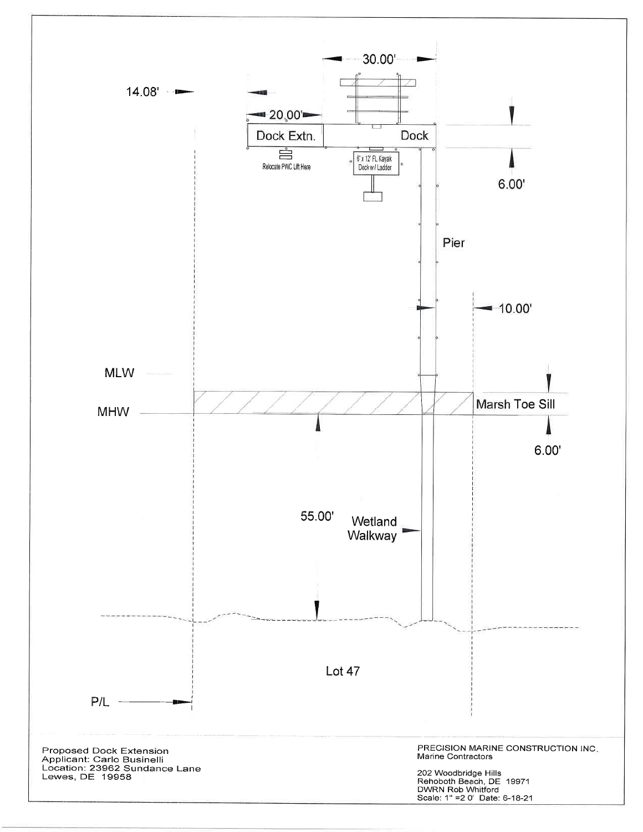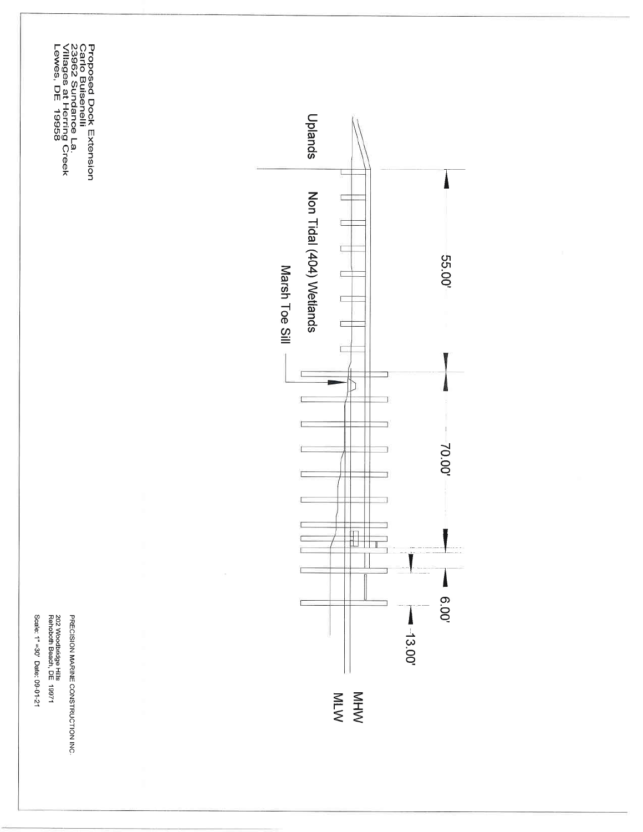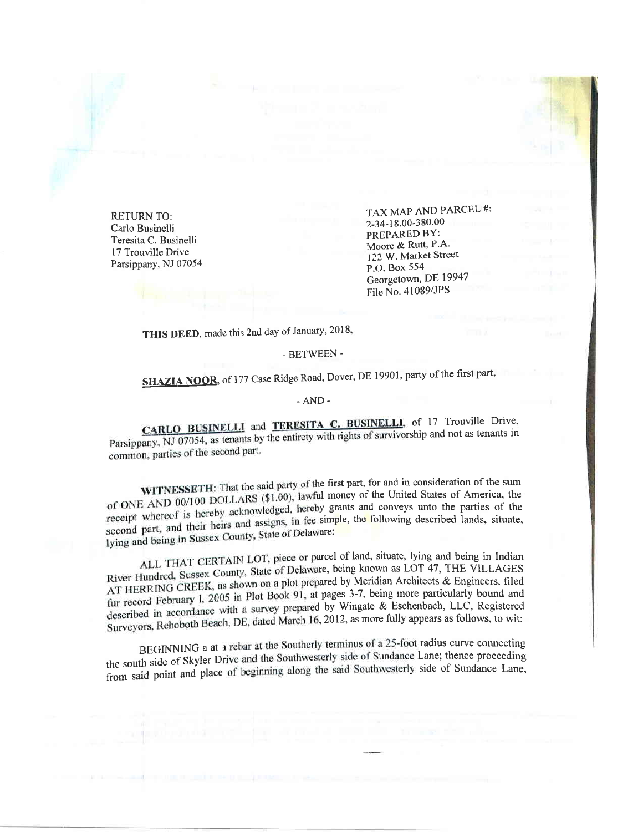RETURN TO: Carlo Businelli Teresita C. Businelli 17 Trouville Drive Parsippany. NJ 07054 TAX MAP AND PARCEL #: 2-34-18.00-380.00 PREPARED BY: Moore & Rutt, P.A. 122 W. Market Street P.O. Box 554 Georgetown, DE 19947 File No. 41089/JPS

THIS DEED, made this 2nd day of January, 2018,

### - BETWEEN -

# SHAZIA NOOR, of 177 Case Ridge Road, Dover, DE 19901, party of the first part,

### -AND-

CARLO BUSINELLI and TERESITA C. BUSINELLI, of 17 Trouville Drive, Parsippany, NJ 07054, as tenants by the entirety with rights of survivorship and not as tenants in common, parties of the second part.

WITNESSETH: That the said party of the first part, for and in consideration of the sum of ONE AND 00/100 DOLLARS (\$1.00), lawful money of the United States of America, the exercise the parties of the receipt whereof is hereby acknowledged, hereby grants and conveys unto the parties of the second part, and their heirs and assigns, in fee simple, the following described lands, situate, lying and being in Sussex County, State of Delaware:

ALL THAT CERTAIN LOT, piece or parcel of land, situate, lying and being in Indian River Hundred, Sussex County, State of Delaware, being known as LOT 47, THE VILLAGES AT HERRING CREEK, as shown on a plot prepared by Meridian Architects & Engineers, filed fur record February 1, 2005 in Plot Book 91, at pages 3-7, being more particularly bound and described in accordance with a survey prepared by Wingate & Eschenbach, LLC, Registered Surveyors, Rehoboth Beach, DE, dated March 16, 2012, as more fully appears as follows, to wit:

BEGINNING a at a rebar at the Southerly terminus of a 25-foot radius curve connecting the south side of Skyler Drive and the Southwesterly side of Sundance Lane; thence proceeding from said point and place of beginning along the said Southwesterly side of Sundance Lane.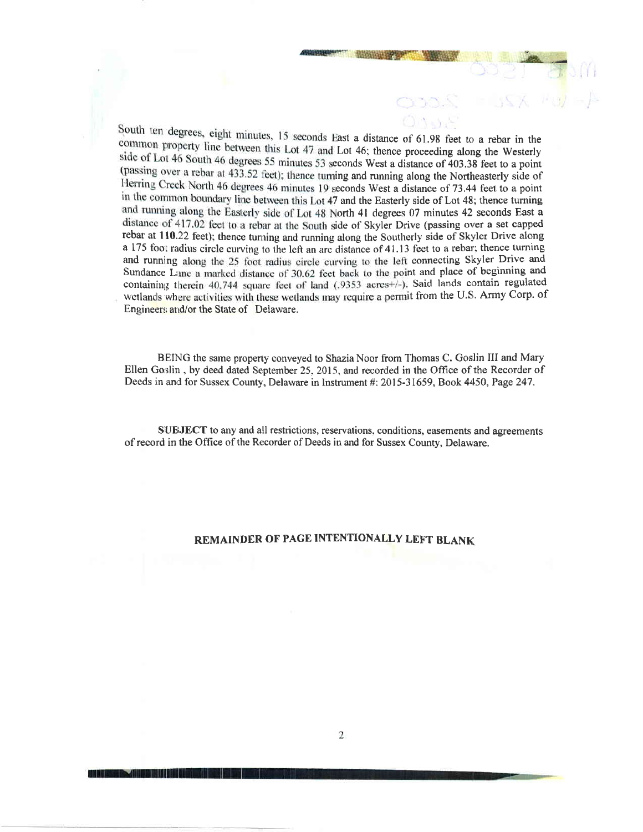South ten degrees, eight minutes, 15 seconds East a distance of 61.98 feet to a rebar in the common property line between this Lot 47 and Lot 46; thence proceeding along the Westerly side of Lot 46 South 46 degrees 55 minutes 53 seconds West a distance of 403.38 feet to a point (passing over a rebar at 433.52 feet); thence turning and running along the Northeasterly side of Herring Creek North 46 degrees 46 minutes 19 seconds West a distance of 73.44 feet to a point in the common boundary line between this Lot 47 and the Easterly side of Lot 48; thence turning and running along the Easterly side of Lot 48 North 41 degrees 07 minutes 42 seconds East a distance of 417.02 feet to a rebar at the South side of Skyler Drive (passing over a set capped rebar at 110.22 feet); thence tunring and running along the Southerly side of Skyler Drive along a 175 foot radius circle curving to the left an arc distance of 41.13 feet to a rebar; thence turning and running along the 25 foot radius circle curving to the left connecting Skyler Drive and Sundance Lane a marked distance of 30.62 feet back to the point and place of beginning and containing therein 40,744 square feet of land (.9353 acres+/-). Said lands contain regulated wetlands where activities with these wetlands may require a permit from the U.S. Army Corp. of Engineers and/or the State of Delaware.

,-

BEING the same property conveyed to Shazia Noor from Thomas C. Goslin III and Mary Ellen Goslin, by deed dated September 25, 2015, and recorded in the Office of the Recorder of Deeds in and for Sussex County, Delaware in Instrument #: 2015-31659, Book 4450, Page 247.

SUBJECT to any and all restrictions, reservations, conditions, easements and agreements of record in the Office of the Recorder of Deeds in and for Sussex County, Delaware.

### REMAINDER OF PAGE INTENTIONALLY LEFT BLANK

**The South Control of the South And South And South And South And South And South And South And South And South**